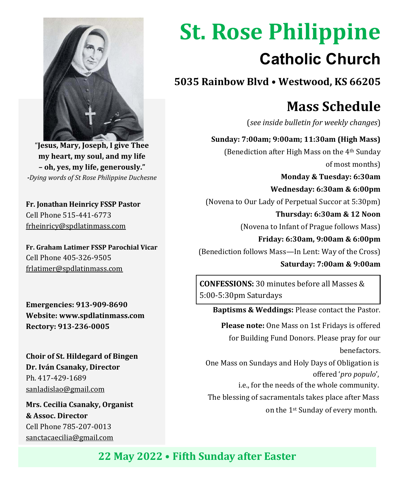

"**Jesus, Mary, Joseph, I give Thee my heart, my soul, and my life – oh, yes, my life, generously."**  *-Dying words of St Rose Philippine Duchesne*

**Fr. Jonathan Heinricy FSSP Pastor** Cell Phone 515-441-6773 frheinricy@spdlatinmass.com

**Fr. Graham Latimer FSSP Parochial Vicar** Cell Phone 405-326-9505 frlatimer@spdlatinmass.com

**Emergencies: 913-909-8690 Website[: www.spdlatinmass.com](http://www.spdlatinmass.com/) Rectory: 913-236-0005**

**Choir of St. Hildegard of Bingen Dr. Iván Csanaky, Director** Ph. 417-429-1689 [sanladislao@gmail.com](mailto:sanladislao@gmail.com)

**Mrs. Cecilia Csanaky, Organist & Assoc. Director**  Cell Phone 785-207-0013 sanctacaecilia@gmail.com

# **St. Rose Philippine Catholic Church**

**5035 Rainbow Blvd** • **Westwood, KS 66205**

## **Mass Schedule**

(*see inside bulletin for weekly changes*)

 **Sunday: 7:00am; 9:00am; 11:30am (High Mass)** (Benediction after High Mass on the 4th Sunday of most months)

 **Monday & Tuesday: 6:30am Wednesday: 6:30am & 6:00pm** (Novena to Our Lady of Perpetual Succor at 5:30pm)  **Thursday: 6:30am & 12 Noon**

(Novena to Infant of Prague follows Mass)

 **Friday: 6:30am, 9:00am & 6:00pm** (Benediction follows Mass—In Lent: Way of the Cross)

 **Saturday: 7:00am & 9:00am**

**CONFESSIONS:** 30 minutes before all Masses & 5:00-5:30pm Saturdays

 **Baptisms & Weddings:** Please contact the Pastor.

 **Please note:** One Mass on 1st Fridays is offered for Building Fund Donors. Please pray for our benefactors.

 One Mass on Sundays and Holy Days of Obligation is offered '*pro populo*',

i.e., for the needs of the whole community.

The blessing of sacramentals takes place after Mass

on the 1st Sunday of every month.

### **22 May 2022** • **Fifth Sunday after Easter**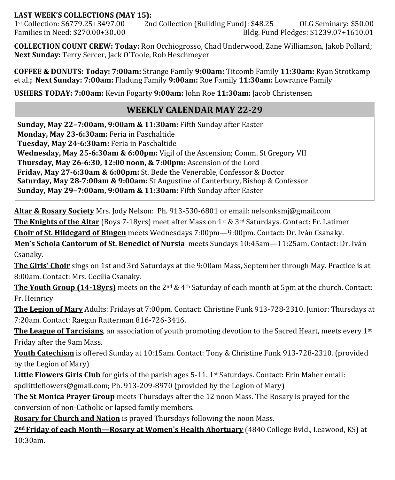#### **LAST WEEK'S COLLECTIONS (MAY 15):**

1st Collection: \$6779.25+3497.00 2nd Collection (Building Fund): \$48.25 OLG Seminary: \$50.00 Families in Need: \$270.00+30..00 Bldg. Fund Pledges: \$1239.07+1610.01

**COLLECTION COUNT CREW: Today:** Ron Occhiogrosso, Chad Underwood, Zane Williamson, Jakob Pollard; **Next Sunday:** Terry Sercer, Jack O'Toole, Rob Heschmeyer

**COFFEE & DONUTS: Today: 7:00am:** Strange Family **9:00am:** Titcomb Family **11:30am:** Ryan Strotkamp et al.**; Next Sunday: 7:00am:** Fladung Family **9:00am:** Roe Family **11:30am:** Lowrance Family

**USHERS TODAY: 7:00am:** Kevin Fogarty **9:00am:** John Roe **11:30am:** Jacob Christensen

#### **WEEKLY CALENDAR MAY 22-29**

**Sunday, May 22–7:00am, 9:00am & 11:30am:** Fifth Sunday after Easter **Monday, May 23-6:30am:** Feria in Paschaltide **Tuesday, May 24-6:30am:** Feria in Paschaltide **Wednesday, May 25-6:30am & 6:00pm:** Vigil of the Ascension; Comm. St Gregory VII **Thursday, May 26-6:30, 12:00 noon, & 7:00pm:** Ascension of the Lord **Friday, May 27-6:30am & 6:00pm:** St. Bede the Venerable, Confessor & Doctor **Saturday, May 28-7:00am & 9:00am:** St Augustine of Canterbury, Bishop & Confessor **Sunday, May 29–7:00am, 9:00am & 11:30am:** Fifth Sunday after Easter

**Altar & Rosary Society** Mrs. Jody Nelson: Ph. 913-530-6801 or email: nelsonksmj@gmail.com

**The Knights of the Altar** (Boys 7-18yrs) meet after Mass on 1st & 3rd Saturdays. Contact: Fr. Latimer

**Choir of St. Hildegard of Bingen** meets Wednesdays 7:00pm—9:00pm. Contact: Dr. Iván Csanaky.

**Men's Schola Cantorum of St. Benedict of Nursia** meets Sundays 10:45am—11:25am. Contact: Dr. Iván Csanaky.

**The Girls' Choir** sings on 1st and 3rd Saturdays at the 9:00am Mass, September through May. Practice is at 8:00am. Contact: Mrs. Cecilia Csanaky.

**The Youth Group (14-18yrs)** meets on the 2nd & 4th Saturday of each month at 5pm at the church. Contact: Fr. Heinricy

**The Legion of Mary** Adults: Fridays at 7:00pm. Contact: Christine Funk 913-728-2310. Junior: Thursdays at 7:20am. Contact: Raegan Ratterman 816-726-3416.

**The League of Tarcisians**, an association of youth promoting devotion to the Sacred Heart, meets every 1st Friday after the 9am Mass.

**Youth Catechism** is offered Sunday at 10:15am. Contact: Tony & Christine Funk 913-728-2310. (provided by the Legion of Mary)

**Little Flowers Girls Club** for girls of the parish ages 5-11. 1st Saturdays. Contact: Erin Maher email: spdlittleflowers@gmail.com; Ph. 913-209-8970 (provided by the Legion of Mary)

**The St Monica Prayer Group** meets Thursdays after the 12 noon Mass. The Rosary is prayed for the conversion of non-Catholic or lapsed family members.

**Rosary for Church and Nation** is prayed Thursdays following the noon Mass.

**2nd Friday of each Month—Rosary at Women's Health Abortuary** (4840 College Bvld., Leawood, KS) at 10:30am.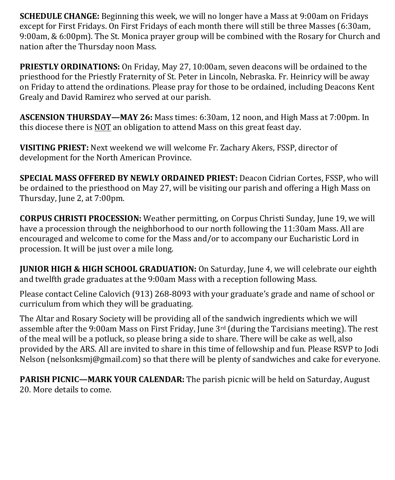**SCHEDULE CHANGE:** Beginning this week, we will no longer have a Mass at 9:00am on Fridays except for First Fridays. On First Fridays of each month there will still be three Masses (6:30am, 9:00am, & 6:00pm). The St. Monica prayer group will be combined with the Rosary for Church and nation after the Thursday noon Mass.

**PRIESTLY ORDINATIONS:** On Friday, May 27, 10:00am, seven deacons will be ordained to the priesthood for the Priestly Fraternity of St. Peter in Lincoln, Nebraska. Fr. Heinricy will be away on Friday to attend the ordinations. Please pray for those to be ordained, including Deacons Kent Grealy and David Ramirez who served at our parish.

**ASCENSION THURSDAY—MAY 26:** Mass times: 6:30am, 12 noon, and High Mass at 7:00pm. In this diocese there is NOT an obligation to attend Mass on this great feast day.

**VISITING PRIEST:** Next weekend we will welcome Fr. Zachary Akers, FSSP, director of development for the North American Province.

**SPECIAL MASS OFFERED BY NEWLY ORDAINED PRIEST:** Deacon Cidrian Cortes, FSSP, who will be ordained to the priesthood on May 27, will be visiting our parish and offering a High Mass on Thursday, June 2, at 7:00pm.

**CORPUS CHRISTI PROCESSION:** Weather permitting, on Corpus Christi Sunday, June 19, we will have a procession through the neighborhood to our north following the 11:30am Mass. All are encouraged and welcome to come for the Mass and/or to accompany our Eucharistic Lord in procession. It will be just over a mile long.

**JUNIOR HIGH & HIGH SCHOOL GRADUATION:** On Saturday, June 4, we will celebrate our eighth and twelfth grade graduates at the 9:00am Mass with a reception following Mass.

Please contact Celine Calovich (913) 268-8093 with your graduate's grade and name of school or curriculum from which they will be graduating.

The Altar and Rosary Society will be providing all of the sandwich ingredients which we will assemble after the 9:00am Mass on First Friday, June  $3<sup>rd</sup>$  (during the Tarcisians meeting). The rest of the meal will be a potluck, so please bring a side to share. There will be cake as well, also provided by the ARS. All are invited to share in this time of fellowship and fun. Please RSVP to Jodi Nelson (nelsonksmj@gmail.com) so that there will be plenty of sandwiches and cake for everyone.

**PARISH PICNIC—MARK YOUR CALENDAR:** The parish picnic will be held on Saturday, August 20. More details to come.